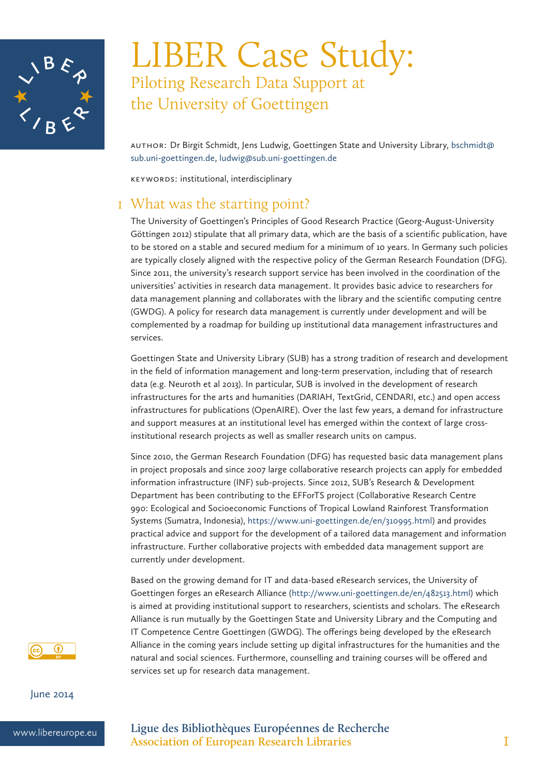

# LIBER Case Study: Piloting Research Data Support at the University of Goettingen

Author: Dr Birgit Schmidt, Jens Ludwig, Goettingen State and University Library, bschmidt@ sub.uni-goettingen.de, ludwig@sub.uni-goettingen.de

Keywords: institutional, interdisciplinary

### 1 What was the starting point?

The University of Goettingen's Principles of Good Research Practice (Georg-August-University Göttingen 2012) stipulate that all primary data, which are the basis of a scientific publication, have to be stored on a stable and secured medium for a minimum of 10 years. In Germany such policies are typically closely aligned with the respective policy of the German Research Foundation (DFG). Since 2011, the university's research support service has been involved in the coordination of the universities' activities in research data management. It provides basic advice to researchers for data management planning and collaborates with the library and the scientific computing centre (GWDG). A policy for research data management is currently under development and will be complemented by a roadmap for building up institutional data management infrastructures and services.

Goettingen State and University Library (SUB) has a strong tradition of research and development in the field of information management and long-term preservation, including that of research data (e.g. Neuroth et al 2013). In particular, SUB is involved in the development of research infrastructures for the arts and humanities (DARIAH, TextGrid, CENDARI, etc.) and open access infrastructures for publications (OpenAIRE). Over the last few years, a demand for infrastructure and support measures at an institutional level has emerged within the context of large crossinstitutional research projects as well as smaller research units on campus.

Since 2010, the German Research Foundation (DFG) has requested basic data management plans in project proposals and since 2007 large collaborative research projects can apply for embedded information infrastructure (INF) sub-projects. Since 2012, SUB's Research & Development Department has been contributing to the EFForTS project (Collaborative Research Centre 990: Ecological and Socioeconomic Functions of Tropical Lowland Rainforest Transformation Systems (Sumatra, Indonesia), https://www.uni-goettingen.de/en/310995.html) and provides practical advice and support for the development of a tailored data management and information infrastructure. Further collaborative projects with embedded data management support are currently under development.

Based on the growing demand for IT and data-based eResearch services, the University of Goettingen forges an eResearch Alliance (http://www.uni-goettingen.de/en/482513.html) which is aimed at providing institutional support to researchers, scientists and scholars. The eResearch Alliance is run mutually by the Goettingen State and University Library and the Computing and IT Competence Centre Goettingen (GWDG). The offerings being developed by the eResearch Alliance in the coming years include setting up digital infrastructures for the humanities and the natural and social sciences. Furthermore, counselling and training courses will be offered and services set up for research data management.



June 2014

www.libereurope.eu **Ligue des Bibliothèques Européennes de Recherche Association of European Research Libraries** 1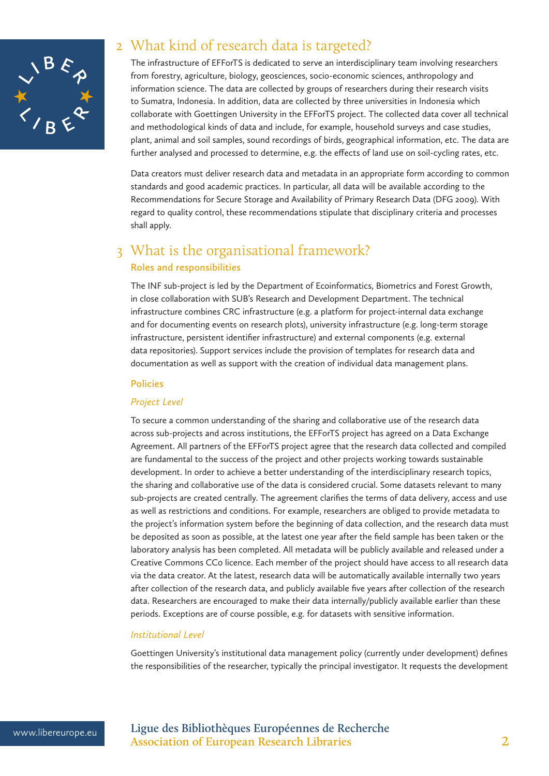

### 2 What kind of research data is targeted?

The infrastructure of EFForTS is dedicated to serve an interdisciplinary team involving researchers from forestry, agriculture, biology, geosciences, socio-economic sciences, anthropology and information science. The data are collected by groups of researchers during their research visits to Sumatra, Indonesia. In addition, data are collected by three universities in Indonesia which collaborate with Goettingen University in the EFForTS project. The collected data cover all technical and methodological kinds of data and include, for example, household surveys and case studies, plant, animal and soil samples, sound recordings of birds, geographical information, etc. The data are further analysed and processed to determine, e.g. the effects of land use on soil-cycling rates, etc.

Data creators must deliver research data and metadata in an appropriate form according to common standards and good academic practices. In particular, all data will be available according to the Recommendations for Secure Storage and Availability of Primary Research Data (DFG 2009). With regard to quality control, these recommendations stipulate that disciplinary criteria and processes shall apply.

### 3 What is the organisational framework? **Roles and responsibilities**

The INF sub-project is led by the Department of Ecoinformatics, Biometrics and Forest Growth, in close collaboration with SUB's Research and Development Department. The technical infrastructure combines CRC infrastructure (e.g. a platform for project-internal data exchange and for documenting events on research plots), university infrastructure (e.g. long-term storage infrastructure, persistent identifier infrastructure) and external components (e.g. external data repositories). Support services include the provision of templates for research data and documentation as well as support with the creation of individual data management plans.

#### **Policies**

#### *Project Level*

To secure a common understanding of the sharing and collaborative use of the research data across sub-projects and across institutions, the EFForTS project has agreed on a Data Exchange Agreement. All partners of the EFForTS project agree that the research data collected and compiled are fundamental to the success of the project and other projects working towards sustainable development. In order to achieve a better understanding of the interdisciplinary research topics, the sharing and collaborative use of the data is considered crucial. Some datasets relevant to many sub-projects are created centrally. The agreement clarifies the terms of data delivery, access and use as well as restrictions and conditions. For example, researchers are obliged to provide metadata to the project's information system before the beginning of data collection, and the research data must be deposited as soon as possible, at the latest one year after the field sample has been taken or the laboratory analysis has been completed. All metadata will be publicly available and released under a Creative Commons CC0 licence. Each member of the project should have access to all research data via the data creator. At the latest, research data will be automatically available internally two years after collection of the research data, and publicly available five years after collection of the research data. Researchers are encouraged to make their data internally/publicly available earlier than these periods. Exceptions are of course possible, e.g. for datasets with sensitive information.

#### *Institutional Level*

Goettingen University's institutional data management policy (currently under development) defines the responsibilities of the researcher, typically the principal investigator. It requests the development

www.libereurope.eu **Ligue des Bibliothèques Européennes de Recherche Association of European Research Libraries** 2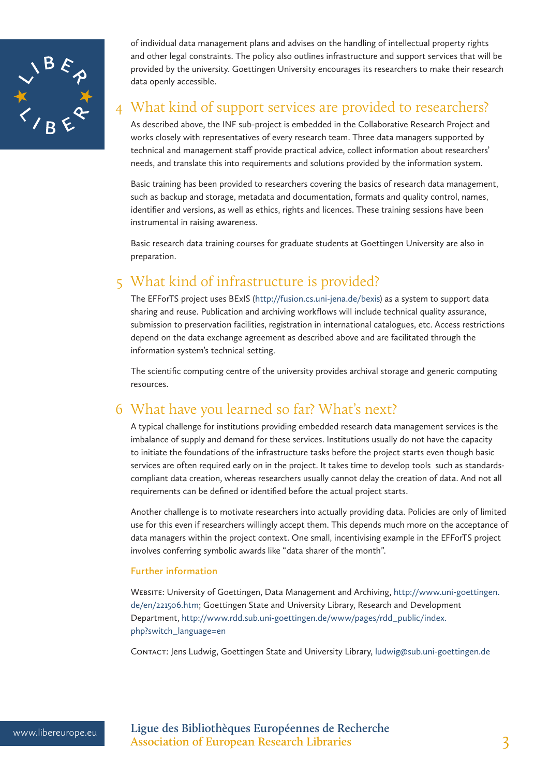

of individual data management plans and advises on the handling of intellectual property rights and other legal constraints. The policy also outlines infrastructure and support services that will be provided by the university. Goettingen University encourages its researchers to make their research data openly accessible.

## 4 What kind of support services are provided to researchers?

As described above, the INF sub-project is embedded in the Collaborative Research Project and works closely with representatives of every research team. Three data managers supported by technical and management staff provide practical advice, collect information about researchers' needs, and translate this into requirements and solutions provided by the information system.

Basic training has been provided to researchers covering the basics of research data management, such as backup and storage, metadata and documentation, formats and quality control, names, identifier and versions, as well as ethics, rights and licences. These training sessions have been instrumental in raising awareness.

Basic research data training courses for graduate students at Goettingen University are also in preparation.

### 5 What kind of infrastructure is provided?

The EFForTS project uses BExIS (http://fusion.cs.uni-jena.de/bexis) as a system to support data sharing and reuse. Publication and archiving workflows will include technical quality assurance, submission to preservation facilities, registration in international catalogues, etc. Access restrictions depend on the data exchange agreement as described above and are facilitated through the information system's technical setting.

The scientific computing centre of the university provides archival storage and generic computing resources.

## 6 What have you learned so far? What's next?

A typical challenge for institutions providing embedded research data management services is the imbalance of supply and demand for these services. Institutions usually do not have the capacity to initiate the foundations of the infrastructure tasks before the project starts even though basic services are often required early on in the project. It takes time to develop tools such as standardscompliant data creation, whereas researchers usually cannot delay the creation of data. And not all requirements can be defined or identified before the actual project starts.

Another challenge is to motivate researchers into actually providing data. Policies are only of limited use for this even if researchers willingly accept them. This depends much more on the acceptance of data managers within the project context. One small, incentivising example in the EFForTS project involves conferring symbolic awards like "data sharer of the month".

#### **Further information**

Website: University of Goettingen, Data Management and Archiving, http://www.uni-goettingen. de/en/221506.htm; Goettingen State and University Library, Research and Development Department, http://www.rdd.sub.uni-goettingen.de/www/pages/rdd\_public/index. php?switch\_language=en

Contact: Jens Ludwig, Goettingen State and University Library, ludwig@sub.uni-goettingen.de

www.libereurope.eu **Ligue des Bibliothèques Européennes de Recherche** Association of European Research Libraries 3